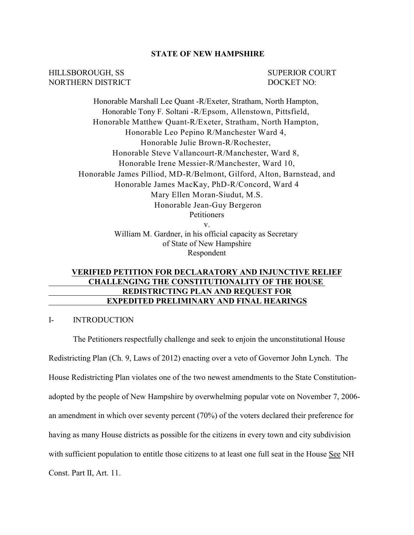### **STATE OF NEW HAMPSHIRE**

HILLSBOROUGH, SS SUPERIOR COURT NORTHERN DISTRICT DOCKET NO:

Honorable Marshall Lee Quant -R/Exeter, Stratham, North Hampton, Honorable Tony F. Soltani -R/Epsom, Allenstown, Pittsfield, Honorable Matthew Quant-R/Exeter, Stratham, North Hampton, Honorable Leo Pepino R/Manchester Ward 4, Honorable Julie Brown-R/Rochester, Honorable Steve Vallancourt-R/Manchester, Ward 8, Honorable Irene Messier-R/Manchester, Ward 10, Honorable James Pilliod, MD-R/Belmont, Gilford, Alton, Barnstead, and Honorable James MacKay, PhD-R/Concord, Ward 4 Mary Ellen Moran-Siudut, M.S. Honorable Jean-Guy Bergeron **Petitioners** v. William M. Gardner, in his official capacity as Secretary of State of New Hampshire

Respondent

# **VERIFIED PETITION FOR DECLARATORY AND INJUNCTIVE RELIEF CHALLENGING THE CONSTITUTIONALITY OF THE HOUSE REDISTRICTING PLAN AND REQUEST FOR EXPEDITED PRELIMINARY AND FINAL HEARINGS**

### I- INTRODUCTION

The Petitioners respectfully challenge and seek to enjoin the unconstitutional House Redistricting Plan (Ch. 9, Laws of 2012) enacting over a veto of Governor John Lynch. The House Redistricting Plan violates one of the two newest amendments to the State Constitutionadopted by the people of New Hampshire by overwhelming popular vote on November 7, 2006 an amendment in which over seventy percent (70%) of the voters declared their preference for having as many House districts as possible for the citizens in every town and city subdivision with sufficient population to entitle those citizens to at least one full seat in the House See NH Const. Part II, Art. 11.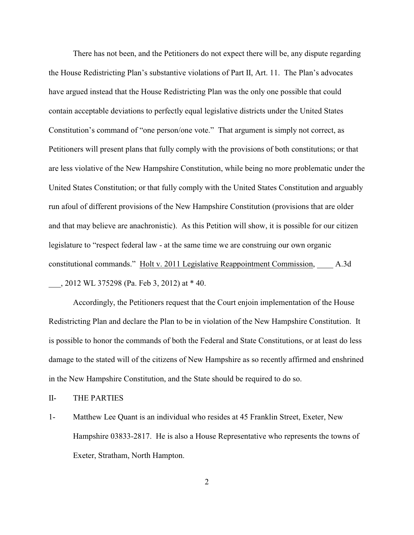There has not been, and the Petitioners do not expect there will be, any dispute regarding the House Redistricting Plan's substantive violations of Part II, Art. 11. The Plan's advocates have argued instead that the House Redistricting Plan was the only one possible that could contain acceptable deviations to perfectly equal legislative districts under the United States Constitution's command of "one person/one vote." That argument is simply not correct, as Petitioners will present plans that fully comply with the provisions of both constitutions; or that are less violative of the New Hampshire Constitution, while being no more problematic under the United States Constitution; or that fully comply with the United States Constitution and arguably run afoul of different provisions of the New Hampshire Constitution (provisions that are older and that may believe are anachronistic). As this Petition will show, it is possible for our citizen legislature to "respect federal law - at the same time we are construing our own organic constitutional commands." Holt v. 2011 Legislative Reappointment Commission, \_\_\_\_ A.3d \_\_\_, 2012 WL 375298 (Pa. Feb 3, 2012) at \* 40.

Accordingly, the Petitioners request that the Court enjoin implementation of the House Redistricting Plan and declare the Plan to be in violation of the New Hampshire Constitution. It is possible to honor the commands of both the Federal and State Constitutions, or at least do less damage to the stated will of the citizens of New Hampshire as so recently affirmed and enshrined in the New Hampshire Constitution, and the State should be required to do so.

II- THE PARTIES

1- Matthew Lee Quant is an individual who resides at 45 Franklin Street, Exeter, New Hampshire 03833-2817. He is also a House Representative who represents the towns of Exeter, Stratham, North Hampton.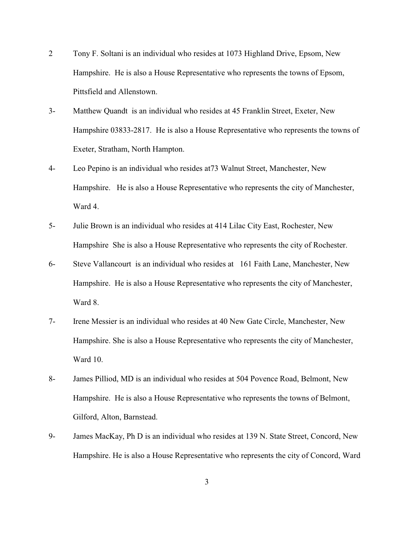- 2 Tony F. Soltani is an individual who resides at 1073 Highland Drive, Epsom, New Hampshire. He is also a House Representative who represents the towns of Epsom, Pittsfield and Allenstown.
- 3- Matthew Quandt is an individual who resides at 45 Franklin Street, Exeter, New Hampshire 03833-2817. He is also a House Representative who represents the towns of Exeter, Stratham, North Hampton.
- 4- Leo Pepino is an individual who resides at73 Walnut Street, Manchester, New Hampshire. He is also a House Representative who represents the city of Manchester, Ward 4.
- 5- Julie Brown is an individual who resides at 414 Lilac City East, Rochester, New Hampshire She is also a House Representative who represents the city of Rochester.
- 6- Steve Vallancourt is an individual who resides at 161 Faith Lane, Manchester, New Hampshire. He is also a House Representative who represents the city of Manchester, Ward 8.
- 7- Irene Messier is an individual who resides at 40 New Gate Circle, Manchester, New Hampshire. She is also a House Representative who represents the city of Manchester, Ward 10.
- 8- James Pilliod, MD is an individual who resides at 504 Povence Road, Belmont, New Hampshire. He is also a House Representative who represents the towns of Belmont, Gilford, Alton, Barnstead.
- 9- James MacKay, Ph D is an individual who resides at 139 N. State Street, Concord, New Hampshire. He is also a House Representative who represents the city of Concord, Ward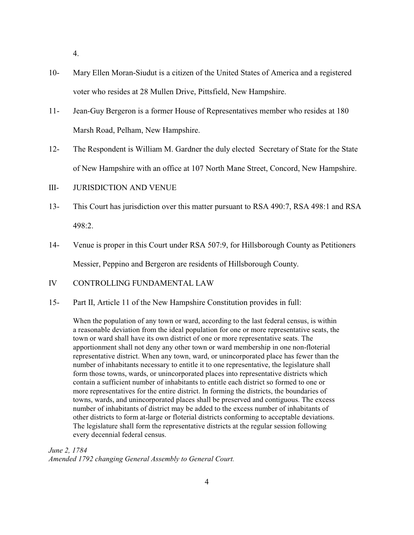4.

- 10- Mary Ellen Moran-Siudut is a citizen of the United States of America and a registered voter who resides at 28 Mullen Drive, Pittsfield, New Hampshire.
- 11- Jean-Guy Bergeron is a former House of Representatives member who resides at 180 Marsh Road, Pelham, New Hampshire.
- 12- The Respondent is William M. Gardner the duly elected Secretary of State for the State of New Hampshire with an office at 107 North Mane Street, Concord, New Hampshire.
- III- JURISDICTION AND VENUE
- 13- This Court has jurisdiction over this matter pursuant to RSA 490:7, RSA 498:1 and RSA 498:2.
- 14- Venue is proper in this Court under RSA 507:9, for Hillsborough County as Petitioners Messier, Peppino and Bergeron are residents of Hillsborough County.
- IV CONTROLLING FUNDAMENTAL LAW
- 15- Part II, Article 11 of the New Hampshire Constitution provides in full:

When the population of any town or ward, according to the last federal census, is within a reasonable deviation from the ideal population for one or more representative seats, the town or ward shall have its own district of one or more representative seats. The apportionment shall not deny any other town or ward membership in one non-floterial representative district. When any town, ward, or unincorporated place has fewer than the number of inhabitants necessary to entitle it to one representative, the legislature shall form those towns, wards, or unincorporated places into representative districts which contain a sufficient number of inhabitants to entitle each district so formed to one or more representatives for the entire district. In forming the districts, the boundaries of towns, wards, and unincorporated places shall be preserved and contiguous. The excess number of inhabitants of district may be added to the excess number of inhabitants of other districts to form at-large or floterial districts conforming to acceptable deviations. The legislature shall form the representative districts at the regular session following every decennial federal census.

*June 2, 1784 Amended 1792 changing General Assembly to General Court.*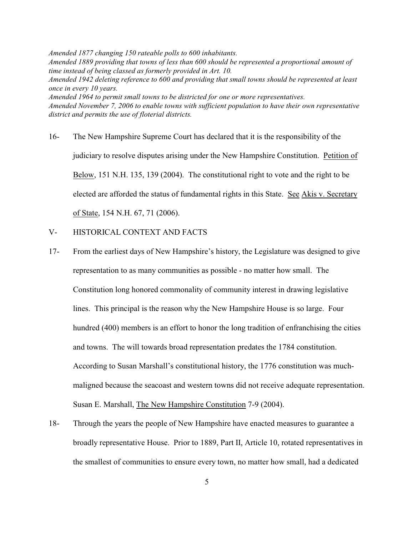*Amended 1877 changing 150 rateable polls to 600 inhabitants. Amended 1889 providing that towns of less than 600 should be represented a proportional amount of time instead of being classed as formerly provided in Art. 10. Amended 1942 deleting reference to 600 and providing that small towns should be represented at least once in every 10 years. Amended 1964 to permit small towns to be districted for one or more representatives. Amended November 7, 2006 to enable towns with sufficient population to have their own representative district and permits the use of floterial districts.* 

- 16- The New Hampshire Supreme Court has declared that it is the responsibility of the judiciary to resolve disputes arising under the New Hampshire Constitution. Petition of Below, 151 N.H. 135, 139 (2004). The constitutional right to vote and the right to be elected are afforded the status of fundamental rights in this State. See Akis v. Secretary of State, 154 N.H. 67, 71 (2006).
- V- HISTORICAL CONTEXT AND FACTS
- 17- From the earliest days of New Hampshire's history, the Legislature was designed to give representation to as many communities as possible - no matter how small. The Constitution long honored commonality of community interest in drawing legislative lines. This principal is the reason why the New Hampshire House is so large. Four hundred (400) members is an effort to honor the long tradition of enfranchising the cities and towns. The will towards broad representation predates the 1784 constitution. According to Susan Marshall's constitutional history, the 1776 constitution was muchmaligned because the seacoast and western towns did not receive adequate representation. Susan E. Marshall, The New Hampshire Constitution 7-9 (2004).
- 18- Through the years the people of New Hampshire have enacted measures to guarantee a broadly representative House. Prior to 1889, Part II, Article 10, rotated representatives in the smallest of communities to ensure every town, no matter how small, had a dedicated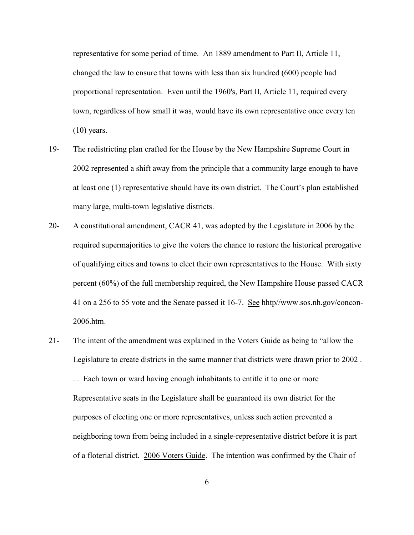representative for some period of time. An 1889 amendment to Part II, Article 11, changed the law to ensure that towns with less than six hundred (600) people had proportional representation. Even until the 1960's, Part II, Article 11, required every town, regardless of how small it was, would have its own representative once every ten  $(10)$  years.

- 19- The redistricting plan crafted for the House by the New Hampshire Supreme Court in 2002 represented a shift away from the principle that a community large enough to have at least one (1) representative should have its own district. The Court's plan established many large, multi-town legislative districts.
- 20- A constitutional amendment, CACR 41, was adopted by the Legislature in 2006 by the required supermajorities to give the voters the chance to restore the historical prerogative of qualifying cities and towns to elect their own representatives to the House. With sixty percent (60%) of the full membership required, the New Hampshire House passed CACR 41 on a 256 to 55 vote and the Senate passed it 16-7. See hhtp//www.sos.nh.gov/concon-2006.htm.
- 21- The intent of the amendment was explained in the Voters Guide as being to "allow the Legislature to create districts in the same manner that districts were drawn prior to 2002 .

. . Each town or ward having enough inhabitants to entitle it to one or more Representative seats in the Legislature shall be guaranteed its own district for the purposes of electing one or more representatives, unless such action prevented a neighboring town from being included in a single-representative district before it is part of a floterial district. 2006 Voters Guide. The intention was confirmed by the Chair of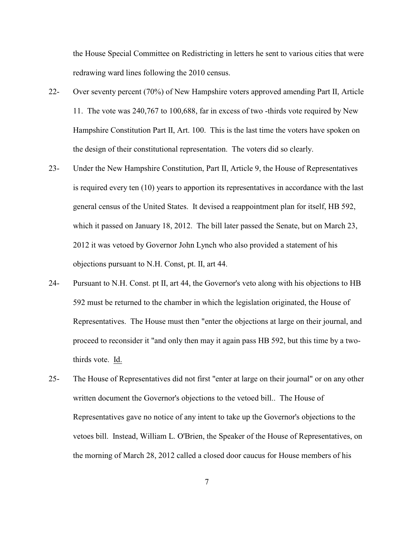the House Special Committee on Redistricting in letters he sent to various cities that were redrawing ward lines following the 2010 census.

- 22- Over seventy percent (70%) of New Hampshire voters approved amending Part II, Article 11. The vote was 240,767 to 100,688, far in excess of two -thirds vote required by New Hampshire Constitution Part II, Art. 100. This is the last time the voters have spoken on the design of their constitutional representation. The voters did so clearly.
- 23- Under the New Hampshire Constitution, Part II, Article 9, the House of Representatives is required every ten (10) years to apportion its representatives in accordance with the last general census of the United States. It devised a reappointment plan for itself, HB 592, which it passed on January 18, 2012. The bill later passed the Senate, but on March 23, 2012 it was vetoed by Governor John Lynch who also provided a statement of his objections pursuant to N.H. Const, pt. II, art 44.
- 24- Pursuant to N.H. Const. pt II, art 44, the Governor's veto along with his objections to HB 592 must be returned to the chamber in which the legislation originated, the House of Representatives. The House must then "enter the objections at large on their journal, and proceed to reconsider it "and only then may it again pass HB 592, but this time by a twothirds vote. Id.
- 25- The House of Representatives did not first "enter at large on their journal" or on any other written document the Governor's objections to the vetoed bill.. The House of Representatives gave no notice of any intent to take up the Governor's objections to the vetoes bill. Instead, William L. O'Brien, the Speaker of the House of Representatives, on the morning of March 28, 2012 called a closed door caucus for House members of his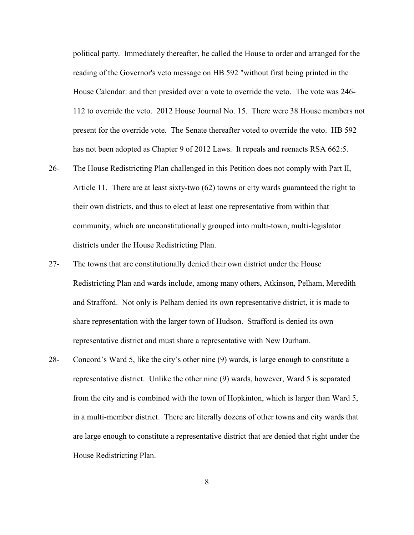political party. Immediately thereafter, he called the House to order and arranged for the reading of the Governor's veto message on HB 592 "without first being printed in the House Calendar: and then presided over a vote to override the veto. The vote was 246- 112 to override the veto. 2012 House Journal No. 15. There were 38 House members not present for the override vote. The Senate thereafter voted to override the veto. HB 592 has not been adopted as Chapter 9 of 2012 Laws. It repeals and reenacts RSA 662:5.

- 26- The House Redistricting Plan challenged in this Petition does not comply with Part II, Article 11. There are at least sixty-two (62) towns or city wards guaranteed the right to their own districts, and thus to elect at least one representative from within that community, which are unconstitutionally grouped into multi-town, multi-legislator districts under the House Redistricting Plan.
- 27- The towns that are constitutionally denied their own district under the House Redistricting Plan and wards include, among many others, Atkinson, Pelham, Meredith and Strafford. Not only is Pelham denied its own representative district, it is made to share representation with the larger town of Hudson. Strafford is denied its own representative district and must share a representative with New Durham.
- 28- Concord's Ward 5, like the city's other nine (9) wards, is large enough to constitute a representative district. Unlike the other nine (9) wards, however, Ward 5 is separated from the city and is combined with the town of Hopkinton, which is larger than Ward 5, in a multi-member district. There are literally dozens of other towns and city wards that are large enough to constitute a representative district that are denied that right under the House Redistricting Plan.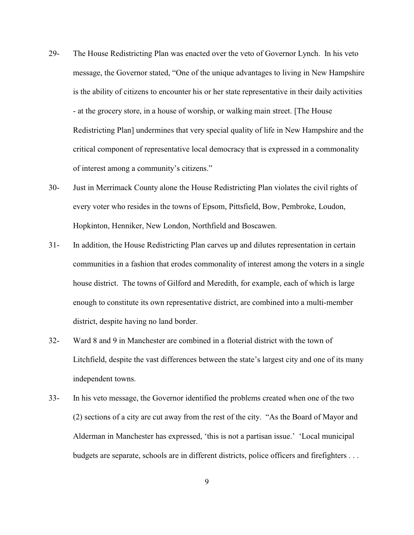- 29- The House Redistricting Plan was enacted over the veto of Governor Lynch. In his veto message, the Governor stated, "One of the unique advantages to living in New Hampshire is the ability of citizens to encounter his or her state representative in their daily activities - at the grocery store, in a house of worship, or walking main street. [The House Redistricting Plan] undermines that very special quality of life in New Hampshire and the critical component of representative local democracy that is expressed in a commonality of interest among a community's citizens."
- 30- Just in Merrimack County alone the House Redistricting Plan violates the civil rights of every voter who resides in the towns of Epsom, Pittsfield, Bow, Pembroke, Loudon, Hopkinton, Henniker, New London, Northfield and Boscawen.
- 31- In addition, the House Redistricting Plan carves up and dilutes representation in certain communities in a fashion that erodes commonality of interest among the voters in a single house district. The towns of Gilford and Meredith, for example, each of which is large enough to constitute its own representative district, are combined into a multi-member district, despite having no land border.
- 32- Ward 8 and 9 in Manchester are combined in a floterial district with the town of Litchfield, despite the vast differences between the state's largest city and one of its many independent towns.
- 33- In his veto message, the Governor identified the problems created when one of the two (2) sections of a city are cut away from the rest of the city. "As the Board of Mayor and Alderman in Manchester has expressed, 'this is not a partisan issue.' 'Local municipal budgets are separate, schools are in different districts, police officers and firefighters ...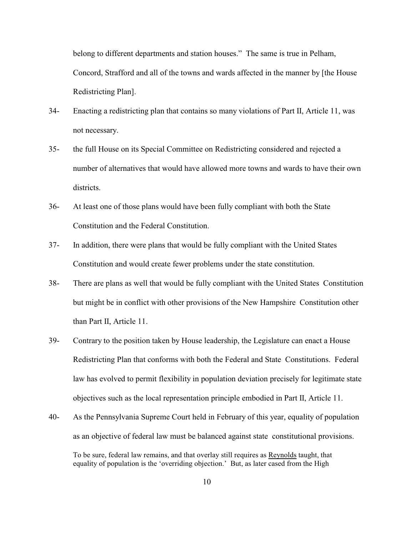belong to different departments and station houses." The same is true in Pelham, Concord, Strafford and all of the towns and wards affected in the manner by [the House Redistricting Plan].

- 34- Enacting a redistricting plan that contains so many violations of Part II, Article 11, was not necessary.
- 35- the full House on its Special Committee on Redistricting considered and rejected a number of alternatives that would have allowed more towns and wards to have their own districts.
- 36- At least one of those plans would have been fully compliant with both the State Constitution and the Federal Constitution.
- 37- In addition, there were plans that would be fully compliant with the United States Constitution and would create fewer problems under the state constitution.
- 38- There are plans as well that would be fully compliant with the United States Constitution but might be in conflict with other provisions of the New Hampshire Constitution other than Part II, Article 11.
- 39- Contrary to the position taken by House leadership, the Legislature can enact a House Redistricting Plan that conforms with both the Federal and State Constitutions. Federal law has evolved to permit flexibility in population deviation precisely for legitimate state objectives such as the local representation principle embodied in Part II, Article 11.
- 40- As the Pennsylvania Supreme Court held in February of this year, equality of population as an objective of federal law must be balanced against state constitutional provisions. To be sure, federal law remains, and that overlay still requires as Reynolds taught, that equality of population is the 'overriding objection.' But, as later cased from the High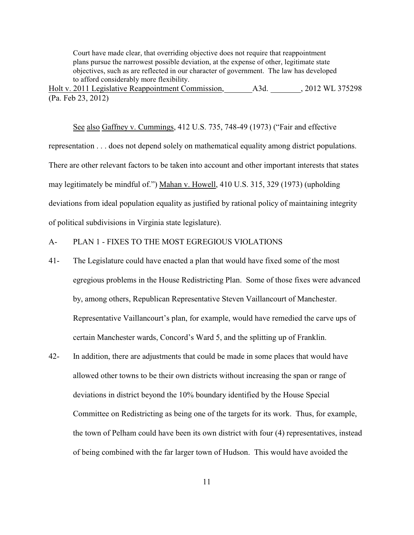Court have made clear, that overriding objective does not require that reappointment plans pursue the narrowest possible deviation, at the expense of other, legitimate state objectives, such as are reflected in our character of government. The law has developed to afford considerably more flexibility.

Holt v. 2011 Legislative Reappointment Commission, A3d. 32012 WL 375298 (Pa. Feb 23, 2012)

See also Gaffney v. Cummings, 412 U.S. 735, 748-49 (1973) ("Fair and effective representation . . . does not depend solely on mathematical equality among district populations. There are other relevant factors to be taken into account and other important interests that states may legitimately be mindful of.") Mahan v. Howell, 410 U.S. 315, 329 (1973) (upholding deviations from ideal population equality as justified by rational policy of maintaining integrity of political subdivisions in Virginia state legislature).

## A- PLAN 1 - FIXES TO THE MOST EGREGIOUS VIOLATIONS

- 41- The Legislature could have enacted a plan that would have fixed some of the most egregious problems in the House Redistricting Plan. Some of those fixes were advanced by, among others, Republican Representative Steven Vaillancourt of Manchester. Representative Vaillancourt's plan, for example, would have remedied the carve ups of certain Manchester wards, Concord's Ward 5, and the splitting up of Franklin.
- 42- In addition, there are adjustments that could be made in some places that would have allowed other towns to be their own districts without increasing the span or range of deviations in district beyond the 10% boundary identified by the House Special Committee on Redistricting as being one of the targets for its work. Thus, for example, the town of Pelham could have been its own district with four (4) representatives, instead of being combined with the far larger town of Hudson. This would have avoided the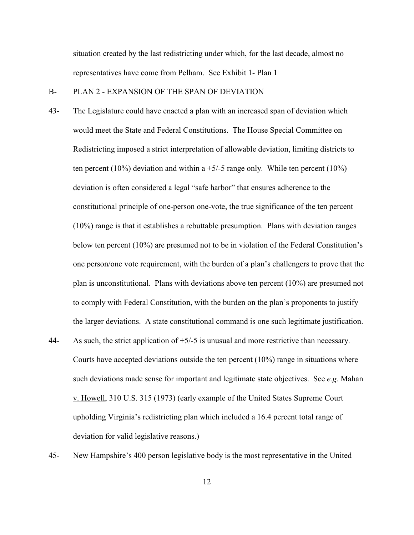situation created by the last redistricting under which, for the last decade, almost no representatives have come from Pelham. See Exhibit 1- Plan 1

#### B- PLAN 2 - EXPANSION OF THE SPAN OF DEVIATION

- 43- The Legislature could have enacted a plan with an increased span of deviation which would meet the State and Federal Constitutions. The House Special Committee on Redistricting imposed a strict interpretation of allowable deviation, limiting districts to ten percent (10%) deviation and within a  $+5/5$  range only. While ten percent (10%) deviation is often considered a legal "safe harbor" that ensures adherence to the constitutional principle of one-person one-vote, the true significance of the ten percent (10%) range is that it establishes a rebuttable presumption. Plans with deviation ranges below ten percent (10%) are presumed not to be in violation of the Federal Constitution's one person/one vote requirement, with the burden of a plan's challengers to prove that the plan is unconstitutional. Plans with deviations above ten percent (10%) are presumed not to comply with Federal Constitution, with the burden on the plan's proponents to justify the larger deviations. A state constitutional command is one such legitimate justification.
- 44- As such, the strict application of  $+5/-5$  is unusual and more restrictive than necessary. Courts have accepted deviations outside the ten percent (10%) range in situations where such deviations made sense for important and legitimate state objectives. See *e.g.* Mahan v. Howell, 310 U.S. 315 (1973) (early example of the United States Supreme Court upholding Virginia's redistricting plan which included a 16.4 percent total range of deviation for valid legislative reasons.)
- 45- New Hampshire's 400 person legislative body is the most representative in the United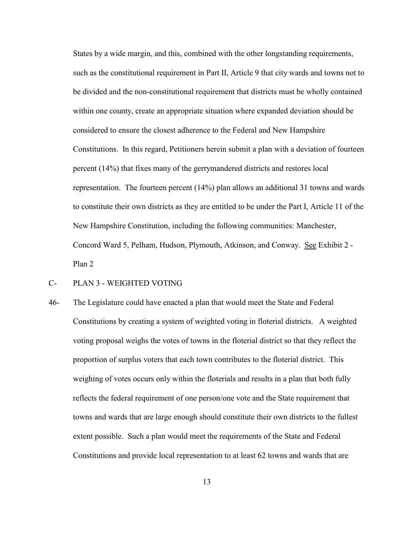States by a wide margin, and this, combined with the other longstanding requirements, such as the constitutional requirement in Part II, Article 9 that city wards and towns not to be divided and the non-constitutional requirement that districts must be wholly contained within one county, create an appropriate situation where expanded deviation should be considered to ensure the closest adherence to the Federal and New Hampshire Constitutions. In this regard, Petitioners herein submit a plan with a deviation of fourteen percent (14%) that fixes many of the gerrymandered districts and restores local representation. The fourteen percent (14%) plan allows an additional 31 towns and wards to constitute their own districts as they are entitled to be under the Part I, Article 11 of the New Hampshire Constitution, including the following communities: Manchester, Concord Ward 5, Pelham, Hudson, Plymouth, Atkinson, and Conway. See Exhibit 2 - Plan 2

## C- PLAN 3 - WEIGHTED VOTING

46- The Legislature could have enacted a plan that would meet the State and Federal Constitutions by creating a system of weighted voting in floterial districts. A weighted voting proposal weighs the votes of towns in the floterial district so that they reflect the proportion of surplus voters that each town contributes to the floterial district. This weighing of votes occurs only within the floterials and results in a plan that both fully reflects the federal requirement of one person/one vote and the State requirement that towns and wards that are large enough should constitute their own districts to the fullest extent possible. Such a plan would meet the requirements of the State and Federal Constitutions and provide local representation to at least 62 towns and wards that are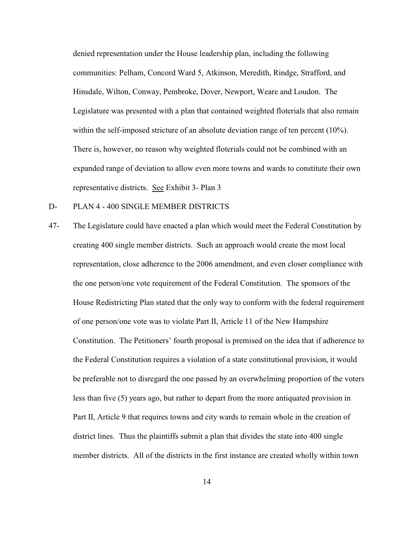denied representation under the House leadership plan, including the following communities: Pelham, Concord Ward 5, Atkinson, Meredith, Rindge, Strafford, and Hinsdale, Wilton, Conway, Pembroke, Dover, Newport, Weare and Loudon. The Legislature was presented with a plan that contained weighted floterials that also remain within the self-imposed stricture of an absolute deviation range of ten percent (10%). There is, however, no reason why weighted floterials could not be combined with an expanded range of deviation to allow even more towns and wards to constitute their own representative districts. See Exhibit 3- Plan 3

- D- PLAN 4 400 SINGLE MEMBER DISTRICTS
- 47- The Legislature could have enacted a plan which would meet the Federal Constitution by creating 400 single member districts. Such an approach would create the most local representation, close adherence to the 2006 amendment, and even closer compliance with the one person/one vote requirement of the Federal Constitution. The sponsors of the House Redistricting Plan stated that the only way to conform with the federal requirement of one person/one vote was to violate Part II, Article 11 of the New Hampshire Constitution. The Petitioners' fourth proposal is premised on the idea that if adherence to the Federal Constitution requires a violation of a state constitutional provision, it would be preferable not to disregard the one passed by an overwhelming proportion of the voters less than five (5) years ago, but rather to depart from the more antiquated provision in Part II, Article 9 that requires towns and city wards to remain whole in the creation of district lines. Thus the plaintiffs submit a plan that divides the state into 400 single member districts. All of the districts in the first instance are created wholly within town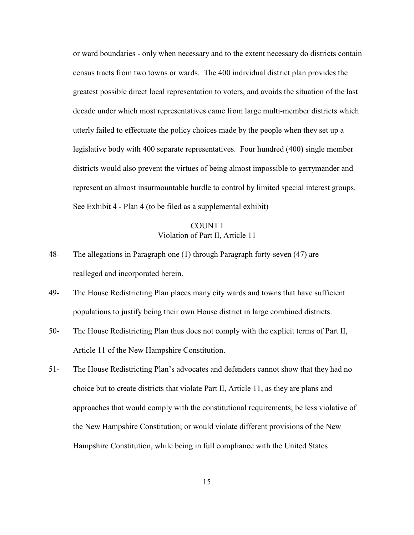or ward boundaries - only when necessary and to the extent necessary do districts contain census tracts from two towns or wards. The 400 individual district plan provides the greatest possible direct local representation to voters, and avoids the situation of the last decade under which most representatives came from large multi-member districts which utterly failed to effectuate the policy choices made by the people when they set up a legislative body with 400 separate representatives. Four hundred (400) single member districts would also prevent the virtues of being almost impossible to gerrymander and represent an almost insurmountable hurdle to control by limited special interest groups. See Exhibit 4 - Plan 4 (to be filed as a supplemental exhibit)

# COUNT I Violation of Part II, Article 11

- 48- The allegations in Paragraph one (1) through Paragraph forty-seven (47) are realleged and incorporated herein.
- 49- The House Redistricting Plan places many city wards and towns that have sufficient populations to justify being their own House district in large combined districts.
- 50- The House Redistricting Plan thus does not comply with the explicit terms of Part II, Article 11 of the New Hampshire Constitution.
- 51- The House Redistricting Plan's advocates and defenders cannot show that they had no choice but to create districts that violate Part II, Article 11, as they are plans and approaches that would comply with the constitutional requirements; be less violative of the New Hampshire Constitution; or would violate different provisions of the New Hampshire Constitution, while being in full compliance with the United States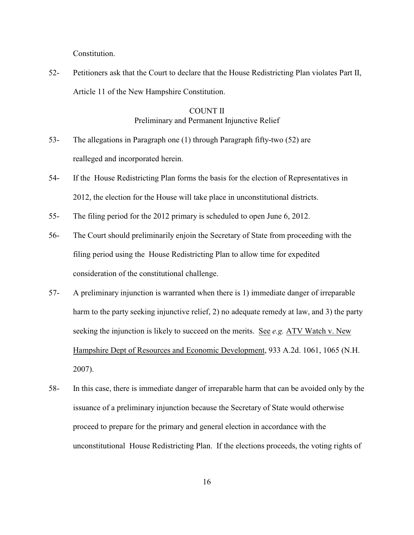Constitution.

52- Petitioners ask that the Court to declare that the House Redistricting Plan violates Part II, Article 11 of the New Hampshire Constitution.

# COUNT II Preliminary and Permanent Injunctive Relief

- 53- The allegations in Paragraph one (1) through Paragraph fifty-two (52) are realleged and incorporated herein.
- 54- If the House Redistricting Plan forms the basis for the election of Representatives in 2012, the election for the House will take place in unconstitutional districts.
- 55- The filing period for the 2012 primary is scheduled to open June 6, 2012.
- 56- The Court should preliminarily enjoin the Secretary of State from proceeding with the filing period using the House Redistricting Plan to allow time for expedited consideration of the constitutional challenge.
- 57- A preliminary injunction is warranted when there is 1) immediate danger of irreparable harm to the party seeking injunctive relief, 2) no adequate remedy at law, and 3) the party seeking the injunction is likely to succeed on the merits. See *e.g.* ATV Watch v. New Hampshire Dept of Resources and Economic Development, 933 A.2d. 1061, 1065 (N.H. 2007).
- 58- In this case, there is immediate danger of irreparable harm that can be avoided only by the issuance of a preliminary injunction because the Secretary of State would otherwise proceed to prepare for the primary and general election in accordance with the unconstitutional House Redistricting Plan. If the elections proceeds, the voting rights of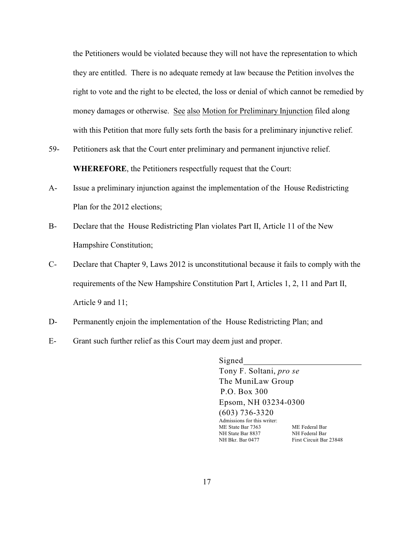the Petitioners would be violated because they will not have the representation to which they are entitled. There is no adequate remedy at law because the Petition involves the right to vote and the right to be elected, the loss or denial of which cannot be remedied by money damages or otherwise. See also Motion for Preliminary Injunction filed along with this Petition that more fully sets forth the basis for a preliminary injunctive relief.

- 59- Petitioners ask that the Court enter preliminary and permanent injunctive relief. **WHEREFORE**, the Petitioners respectfully request that the Court:
- A- Issue a preliminary injunction against the implementation of the House Redistricting Plan for the 2012 elections;
- B- Declare that the House Redistricting Plan violates Part II, Article 11 of the New Hampshire Constitution;
- C- Declare that Chapter 9, Laws 2012 is unconstitutional because it fails to comply with the requirements of the New Hampshire Constitution Part I, Articles 1, 2, 11 and Part II, Article 9 and 11;
- D- Permanently enjoin the implementation of the House Redistricting Plan; and
- E- Grant such further relief as this Court may deem just and proper.

Signed Tony F. Soltani, *pro se* The MuniLaw Group P.O. Box 300 Epsom, NH 03234-0300

(603) 736-3320 Admissions for this writer: ME State Bar 7363 ME Federal Bar NH State Bar 8837 NH Federal Bar NH Bkr. Bar 0477 First Circuit Bar 23848